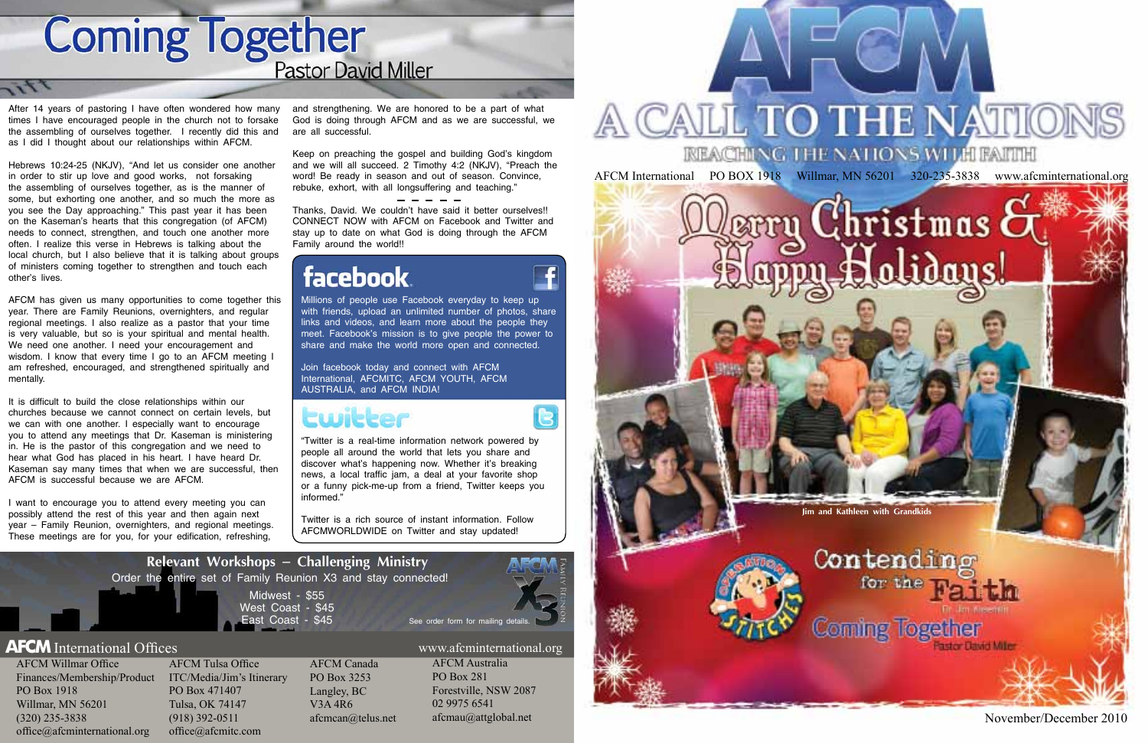AFCM International PO BOX 1918 Willmar, MN 56201 320-235-3838 www.afcminternational.org

# Christmas **c**

November/December 2010

AFCM Willmar Office Finances/Membership/Product ITC/Media/Jim's Itinerary PO Box 1918 Willmar, MN 56201 (320) 235-3838 office@afcminternational.org

AFCM Tulsa Office PO Box 471407 Tulsa, OK 74147 (918) 392-0511 office@afcmitc.com

AFCM Canada PO Box 3253 Langley, BC V3A 4R6 afcmcan@telus.net

AFCM Australia PO Box 281 Forestville, NSW 2087 02 9975 6541 afcmau@attglobal.net



# CALL TO THE NATIONS

**Coming Together Pastor David Miller** 

After 14 years of pastoring I have often wondered how many times I have encouraged people in the church not to forsake the assembling of ourselves together. I recently did this and as I did I thought about our relationships within AFCM.

Hebrews 10:24-25 (NKJV), "And let us consider one another in order to stir up love and good works, not forsaking the assembling of ourselves together, as is the manner of some, but exhorting one another, and so much the more as you see the Day approaching." This past year it has been on the Kaseman's hearts that this congregation (of AFCM) needs to connect, strengthen, and touch one another more often. I realize this verse in Hebrews is talking about the local church, but I also believe that it is talking about groups of ministers coming together to strengthen and touch each other's lives.

AFCM has given us many opportunities to come together this year. There are Family Reunions, overnighters, and regular regional meetings. I also realize as a pastor that your time is very valuable, but so is your spiritual and mental health. We need one another. I need your encouragement and wisdom. I know that every time I go to an AFCM meeting I am refreshed, encouraged, and strengthened spiritually and mentally.

> Midwest - \$55 West Coast - \$45 East Coast - \$45 **Relevant Workshops** – **Challenging Ministry** Order the entire set of Family Reunion X3 and stay connected! See order form for mailing detail



R

### **AFCM** International Offices www.afcminternational.org

It is difficult to build the close relationships within our churches because we cannot connect on certain levels, but we can with one another. I especially want to encourage you to attend any meetings that Dr. Kaseman is ministering in. He is the pastor of this congregation and we need to hear what God has placed in his heart. I have heard Dr. Kaseman say many times that when we are successful, then AFCM is successful because we are AFCM.

I want to encourage you to attend every meeting you can possibly attend the rest of this year and then again next year – Family Reunion, overnighters, and regional meetings. These meetings are for you, for your edification, refreshing,

and strengthening. We are honored to be a part of what God is doing through AFCM and as we are successful, we are all successful.

Keep on preaching the gospel and building God's kingdom and we will all succeed. 2 Timothy 4:2 (NKJV), "Preach the word! Be ready in season and out of season. Convince, rebuke, exhort, with all longsuffering and teaching."

Thanks, David. We couldn't have said it better ourselves!! CONNECT NOW with AFCM on Facebook and Twitter and stay up to date on what God is doing through the AFCM Family around the world!!

## **facebook**

"Twitter is a real-time information network powered by people all around the world that lets you share and discover what's happening now. Whether it's breaking news, a local traffic jam, a deal at your favorite shop or a funny pick-me-up from a friend, Twitter keeps you informed."

Twitter is a rich source of instant information. Follow AFCMWORLDWIDE on Twitter and stay updated!

Millions of people use Facebook everyday to keep up with friends, upload an unlimited number of photos, share links and videos, and learn more about the people they meet. Facebook's mission is to give people the power to share and make the world more open and connected.

Join facebook today and connect with AFCM International, AFCMITC, AFCM YOUTH, AFCM AUSTRALIA, and AFCM INDIA!

## Cwicker

**Jim and Kathleen with Grandkids**

Contending for the **Coming Together**